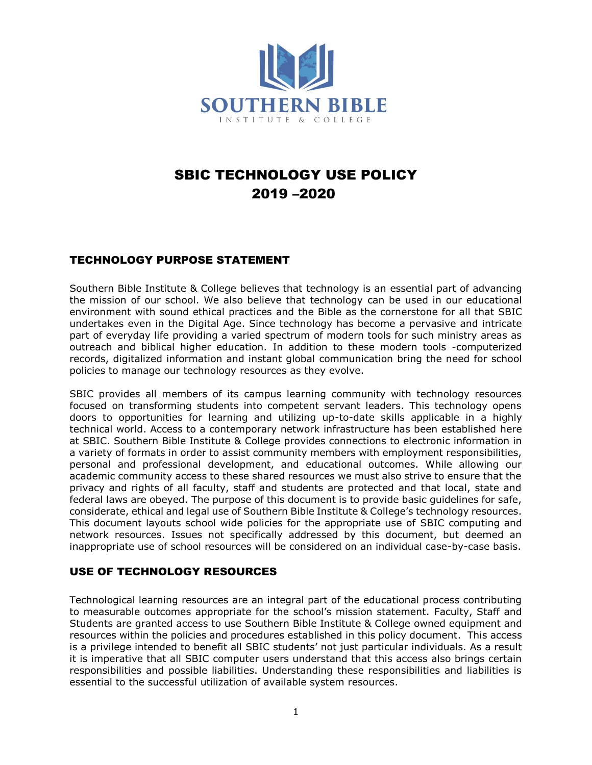

# SBIC TECHNOLOGY USE POLICY 2019 –2020

# TECHNOLOGY PURPOSE STATEMENT

Southern Bible Institute & College believes that technology is an essential part of advancing the mission of our school. We also believe that technology can be used in our educational environment with sound ethical practices and the Bible as the cornerstone for all that SBIC undertakes even in the Digital Age. Since technology has become a pervasive and intricate part of everyday life providing a varied spectrum of modern tools for such ministry areas as outreach and biblical higher education. In addition to these modern tools -computerized records, digitalized information and instant global communication bring the need for school policies to manage our technology resources as they evolve.

SBIC provides all members of its campus learning community with technology resources focused on transforming students into competent servant leaders. This technology opens doors to opportunities for learning and utilizing up-to-date skills applicable in a highly technical world. Access to a contemporary network infrastructure has been established here at SBIC. Southern Bible Institute & College provides connections to electronic information in a variety of formats in order to assist community members with employment responsibilities, personal and professional development, and educational outcomes. While allowing our academic community access to these shared resources we must also strive to ensure that the privacy and rights of all faculty, staff and students are protected and that local, state and federal laws are obeyed. The purpose of this document is to provide basic guidelines for safe, considerate, ethical and legal use of Southern Bible Institute & College's technology resources. This document layouts school wide policies for the appropriate use of SBIC computing and network resources. Issues not specifically addressed by this document, but deemed an inappropriate use of school resources will be considered on an individual case-by-case basis.

# USE OF TECHNOLOGY RESOURCES

Technological learning resources are an integral part of the educational process contributing to measurable outcomes appropriate for the school's mission statement. Faculty, Staff and Students are granted access to use Southern Bible Institute & College owned equipment and resources within the policies and procedures established in this policy document. This access is a privilege intended to benefit all SBIC students' not just particular individuals. As a result it is imperative that all SBIC computer users understand that this access also brings certain responsibilities and possible liabilities. Understanding these responsibilities and liabilities is essential to the successful utilization of available system resources.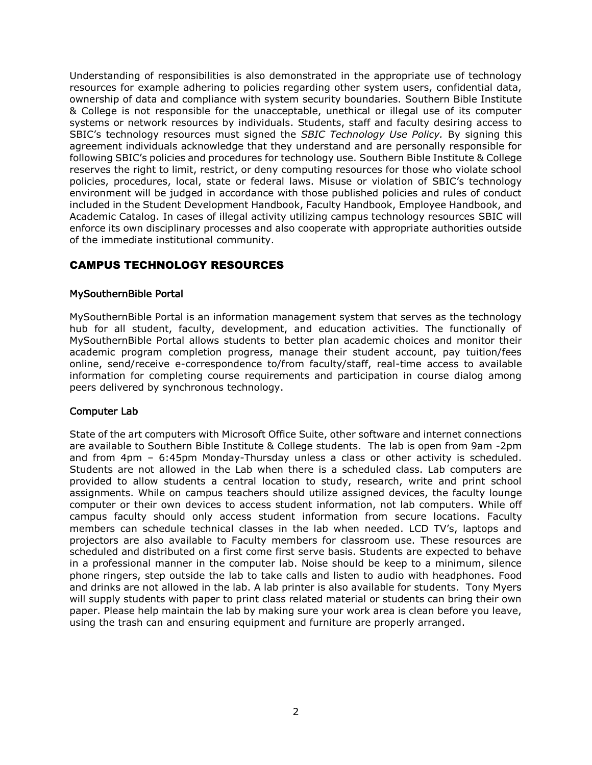Understanding of responsibilities is also demonstrated in the appropriate use of technology resources for example adhering to policies regarding other system users, confidential data, ownership of data and compliance with system security boundaries. Southern Bible Institute & College is not responsible for the unacceptable, unethical or illegal use of its computer systems or network resources by individuals. Students, staff and faculty desiring access to SBIC's technology resources must signed the *SBIC Technology Use Policy.* By signing this agreement individuals acknowledge that they understand and are personally responsible for following SBIC's policies and procedures for technology use. Southern Bible Institute & College reserves the right to limit, restrict, or deny computing resources for those who violate school policies, procedures, local, state or federal laws. Misuse or violation of SBIC's technology environment will be judged in accordance with those published policies and rules of conduct included in the Student Development Handbook, Faculty Handbook, Employee Handbook, and Academic Catalog. In cases of illegal activity utilizing campus technology resources SBIC will enforce its own disciplinary processes and also cooperate with appropriate authorities outside of the immediate institutional community.

# CAMPUS TECHNOLOGY RESOURCES

#### MySouthernBible Portal

MySouthernBible Portal is an information management system that serves as the technology hub for all student, faculty, development, and education activities. The functionally of MySouthernBible Portal allows students to better plan academic choices and monitor their academic program completion progress, manage their student account, pay tuition/fees online, send/receive e-correspondence to/from faculty/staff, real-time access to available information for completing course requirements and participation in course dialog among peers delivered by synchronous technology.

#### Computer Lab

State of the art computers with Microsoft Office Suite, other software and internet connections are available to Southern Bible Institute & College students. The lab is open from 9am -2pm and from 4pm – 6:45pm Monday-Thursday unless a class or other activity is scheduled. Students are not allowed in the Lab when there is a scheduled class. Lab computers are provided to allow students a central location to study, research, write and print school assignments. While on campus teachers should utilize assigned devices, the faculty lounge computer or their own devices to access student information, not lab computers. While off campus faculty should only access student information from secure locations. Faculty members can schedule technical classes in the lab when needed. LCD TV's, laptops and projectors are also available to Faculty members for classroom use. These resources are scheduled and distributed on a first come first serve basis. Students are expected to behave in a professional manner in the computer lab. Noise should be keep to a minimum, silence phone ringers, step outside the lab to take calls and listen to audio with headphones. Food and drinks are not allowed in the lab. A lab printer is also available for students. Tony Myers will supply students with paper to print class related material or students can bring their own paper. Please help maintain the lab by making sure your work area is clean before you leave, using the trash can and ensuring equipment and furniture are properly arranged.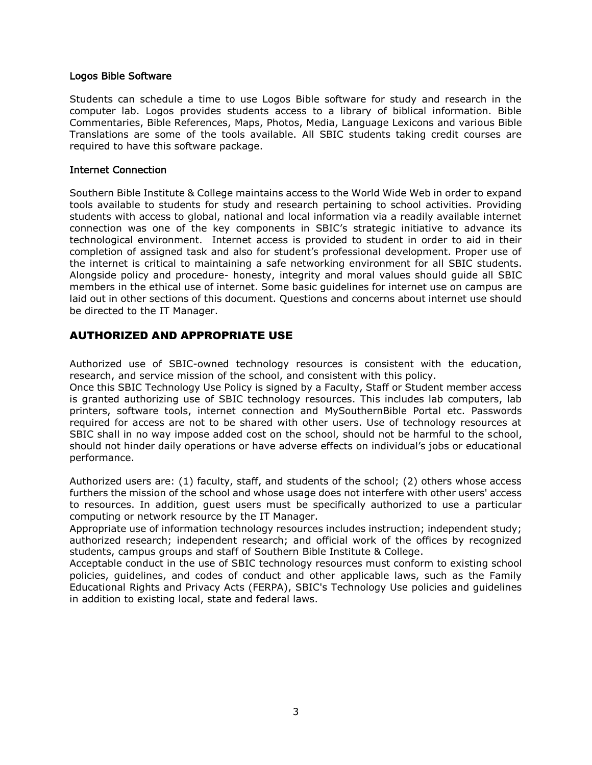#### Logos Bible Software

Students can schedule a time to use Logos Bible software for study and research in the computer lab. Logos provides students access to a library of biblical information. Bible Commentaries, Bible References, Maps, Photos, Media, Language Lexicons and various Bible Translations are some of the tools available. All SBIC students taking credit courses are required to have this software package.

#### Internet Connection

Southern Bible Institute & College maintains access to the World Wide Web in order to expand tools available to students for study and research pertaining to school activities. Providing students with access to global, national and local information via a readily available internet connection was one of the key components in SBIC's strategic initiative to advance its technological environment. Internet access is provided to student in order to aid in their completion of assigned task and also for student's professional development. Proper use of the internet is critical to maintaining a safe networking environment for all SBIC students. Alongside policy and procedure- honesty, integrity and moral values should guide all SBIC members in the ethical use of internet. Some basic guidelines for internet use on campus are laid out in other sections of this document. Questions and concerns about internet use should be directed to the IT Manager.

#### AUTHORIZED AND APPROPRIATE USE

Authorized use of SBIC-owned technology resources is consistent with the education, research, and service mission of the school, and consistent with this policy.

Once this SBIC Technology Use Policy is signed by a Faculty, Staff or Student member access is granted authorizing use of SBIC technology resources. This includes lab computers, lab printers, software tools, internet connection and MySouthernBible Portal etc. Passwords required for access are not to be shared with other users. Use of technology resources at SBIC shall in no way impose added cost on the school, should not be harmful to the school, should not hinder daily operations or have adverse effects on individual's jobs or educational performance.

Authorized users are: (1) faculty, staff, and students of the school; (2) others whose access furthers the mission of the school and whose usage does not interfere with other users' access to resources. In addition, guest users must be specifically authorized to use a particular computing or network resource by the IT Manager.

Appropriate use of information technology resources includes instruction; independent study; authorized research; independent research; and official work of the offices by recognized students, campus groups and staff of Southern Bible Institute & College.

Acceptable conduct in the use of SBIC technology resources must conform to existing school policies, guidelines, and codes of conduct and other applicable laws, such as the Family Educational Rights and Privacy Acts (FERPA), SBIC's Technology Use policies and guidelines in addition to existing local, state and federal laws.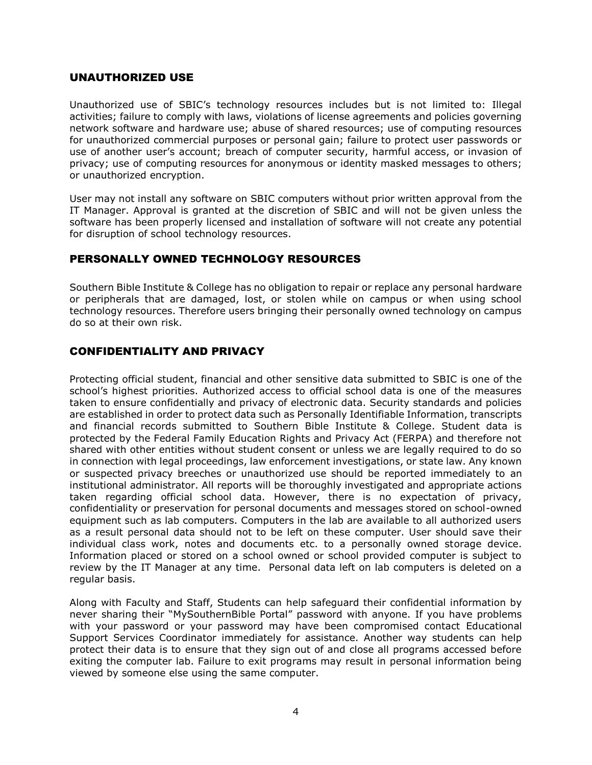#### UNAUTHORIZED USE

Unauthorized use of SBIC's technology resources includes but is not limited to: Illegal activities; failure to comply with laws, violations of license agreements and policies governing network software and hardware use; abuse of shared resources; use of computing resources for unauthorized commercial purposes or personal gain; failure to protect user passwords or use of another user's account; breach of computer security, harmful access, or invasion of privacy; use of computing resources for anonymous or identity masked messages to others; or unauthorized encryption.

User may not install any software on SBIC computers without prior written approval from the IT Manager. Approval is granted at the discretion of SBIC and will not be given unless the software has been properly licensed and installation of software will not create any potential for disruption of school technology resources.

## PERSONALLY OWNED TECHNOLOGY RESOURCES

Southern Bible Institute & College has no obligation to repair or replace any personal hardware or peripherals that are damaged, lost, or stolen while on campus or when using school technology resources. Therefore users bringing their personally owned technology on campus do so at their own risk.

#### CONFIDENTIALITY AND PRIVACY

Protecting official student, financial and other sensitive data submitted to SBIC is one of the school's highest priorities. Authorized access to official school data is one of the measures taken to ensure confidentially and privacy of electronic data. Security standards and policies are established in order to protect data such as Personally Identifiable Information, transcripts and financial records submitted to Southern Bible Institute & College. Student data is protected by the Federal Family Education Rights and Privacy Act (FERPA) and therefore not shared with other entities without student consent or unless we are legally required to do so in connection with legal proceedings, law enforcement investigations, or state law. Any known or suspected privacy breeches or unauthorized use should be reported immediately to an institutional administrator. All reports will be thoroughly investigated and appropriate actions taken regarding official school data. However, there is no expectation of privacy, confidentiality or preservation for personal documents and messages stored on school-owned equipment such as lab computers. Computers in the lab are available to all authorized users as a result personal data should not to be left on these computer. User should save their individual class work, notes and documents etc. to a personally owned storage device. Information placed or stored on a school owned or school provided computer is subject to review by the IT Manager at any time. Personal data left on lab computers is deleted on a regular basis.

Along with Faculty and Staff, Students can help safeguard their confidential information by never sharing their "MySouthernBible Portal" password with anyone. If you have problems with your password or your password may have been compromised contact Educational Support Services Coordinator immediately for assistance. Another way students can help protect their data is to ensure that they sign out of and close all programs accessed before exiting the computer lab. Failure to exit programs may result in personal information being viewed by someone else using the same computer.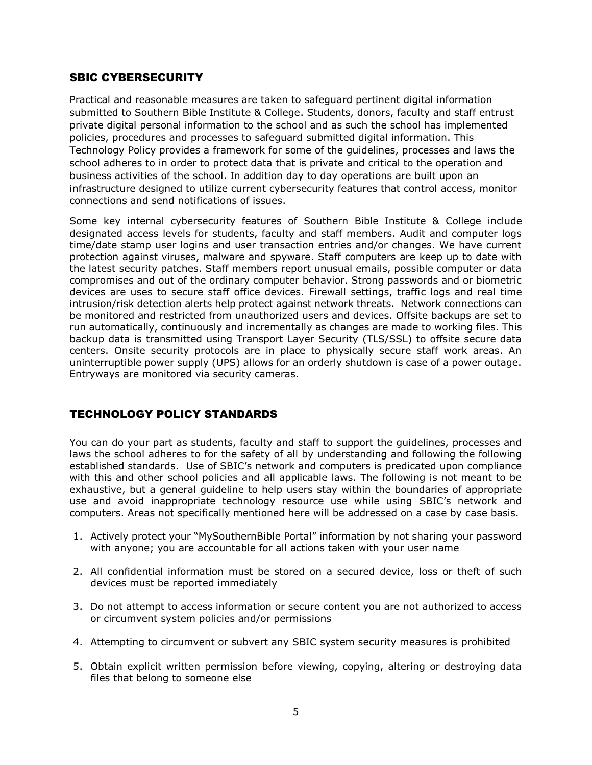## SBIC CYBERSECURITY

Practical and reasonable measures are taken to safeguard pertinent digital information submitted to Southern Bible Institute & College. Students, donors, faculty and staff entrust private digital personal information to the school and as such the school has implemented policies, procedures and processes to safeguard submitted digital information. This Technology Policy provides a framework for some of the guidelines, processes and laws the school adheres to in order to protect data that is private and critical to the operation and business activities of the school. In addition day to day operations are built upon an infrastructure designed to utilize current cybersecurity features that control access, monitor connections and send notifications of issues.

Some key internal cybersecurity features of Southern Bible Institute & College include designated access levels for students, faculty and staff members. Audit and computer logs time/date stamp user logins and user transaction entries and/or changes. We have current protection against viruses, malware and spyware. Staff computers are keep up to date with the latest security patches. Staff members report unusual emails, possible computer or data compromises and out of the ordinary computer behavior. Strong passwords and or biometric devices are uses to secure staff office devices. Firewall settings, traffic logs and real time intrusion/risk detection alerts help protect against network threats. Network connections can be monitored and restricted from unauthorized users and devices. Offsite backups are set to run automatically, continuously and incrementally as changes are made to working files. This backup data is transmitted using Transport Layer Security (TLS/SSL) to offsite secure data centers. Onsite security protocols are in place to physically secure staff work areas. An uninterruptible power supply (UPS) allows for an orderly shutdown is case of a power outage. Entryways are monitored via security cameras.

# TECHNOLOGY POLICY STANDARDS

You can do your part as students, faculty and staff to support the guidelines, processes and laws the school adheres to for the safety of all by understanding and following the following established standards. Use of SBIC's network and computers is predicated upon compliance with this and other school policies and all applicable laws. The following is not meant to be exhaustive, but a general guideline to help users stay within the boundaries of appropriate use and avoid inappropriate technology resource use while using SBIC's network and computers. Areas not specifically mentioned here will be addressed on a case by case basis.

- 1. Actively protect your "MySouthernBible Portal" information by not sharing your password with anyone; you are accountable for all actions taken with your user name
- 2. All confidential information must be stored on a secured device, loss or theft of such devices must be reported immediately
- 3. Do not attempt to access information or secure content you are not authorized to access or circumvent system policies and/or permissions
- 4. Attempting to circumvent or subvert any SBIC system security measures is prohibited
- 5. Obtain explicit written permission before viewing, copying, altering or destroying data files that belong to someone else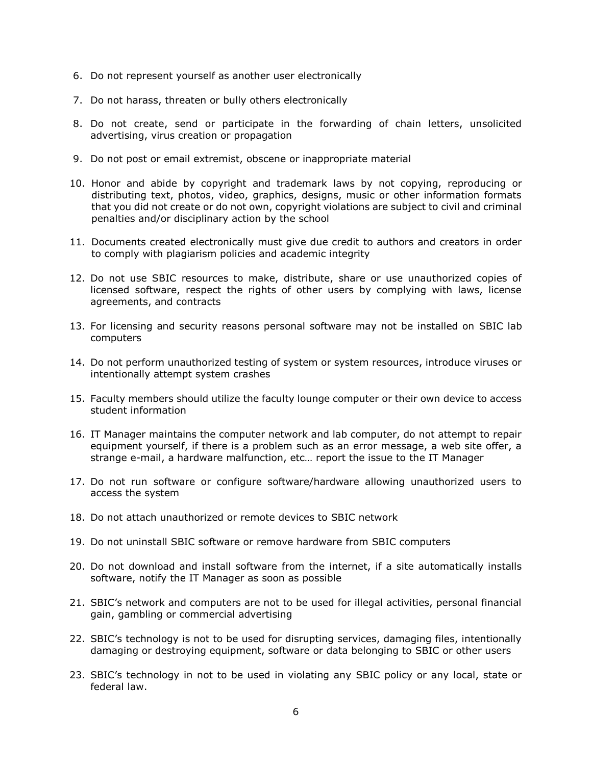- 6. Do not represent yourself as another user electronically
- 7. Do not harass, threaten or bully others electronically
- 8. Do not create, send or participate in the forwarding of chain letters, unsolicited advertising, virus creation or propagation
- 9. Do not post or email extremist, obscene or inappropriate material
- 10. Honor and abide by copyright and trademark laws by not copying, reproducing or distributing text, photos, video, graphics, designs, music or other information formats that you did not create or do not own, copyright violations are subject to civil and criminal penalties and/or disciplinary action by the school
- 11. Documents created electronically must give due credit to authors and creators in order to comply with plagiarism policies and academic integrity
- 12. Do not use SBIC resources to make, distribute, share or use unauthorized copies of licensed software, respect the rights of other users by complying with laws, license agreements, and contracts
- 13. For licensing and security reasons personal software may not be installed on SBIC lab computers
- 14. Do not perform unauthorized testing of system or system resources, introduce viruses or intentionally attempt system crashes
- 15. Faculty members should utilize the faculty lounge computer or their own device to access student information
- 16. IT Manager maintains the computer network and lab computer, do not attempt to repair equipment yourself, if there is a problem such as an error message, a web site offer, a strange e-mail, a hardware malfunction, etc… report the issue to the IT Manager
- 17. Do not run software or configure software/hardware allowing unauthorized users to access the system
- 18. Do not attach unauthorized or remote devices to SBIC network
- 19. Do not uninstall SBIC software or remove hardware from SBIC computers
- 20. Do not download and install software from the internet, if a site automatically installs software, notify the IT Manager as soon as possible
- 21. SBIC's network and computers are not to be used for illegal activities, personal financial gain, gambling or commercial advertising
- 22. SBIC's technology is not to be used for disrupting services, damaging files, intentionally damaging or destroying equipment, software or data belonging to SBIC or other users
- 23. SBIC's technology in not to be used in violating any SBIC policy or any local, state or federal law.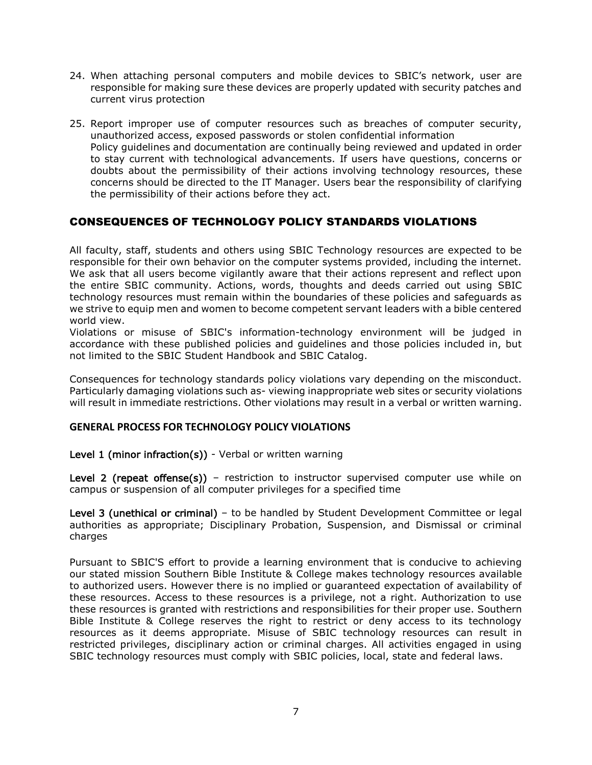- 24. When attaching personal computers and mobile devices to SBIC's network, user are responsible for making sure these devices are properly updated with security patches and current virus protection
- 25. Report improper use of computer resources such as breaches of computer security, unauthorized access, exposed passwords or stolen confidential information Policy guidelines and documentation are continually being reviewed and updated in order to stay current with technological advancements. If users have questions, concerns or doubts about the permissibility of their actions involving technology resources, these concerns should be directed to the IT Manager. Users bear the responsibility of clarifying the permissibility of their actions before they act.

# CONSEQUENCES OF TECHNOLOGY POLICY STANDARDS VIOLATIONS

All faculty, staff, students and others using SBIC Technology resources are expected to be responsible for their own behavior on the computer systems provided, including the internet. We ask that all users become vigilantly aware that their actions represent and reflect upon the entire SBIC community. Actions, words, thoughts and deeds carried out using SBIC technology resources must remain within the boundaries of these policies and safeguards as we strive to equip men and women to become competent servant leaders with a bible centered world view.

Violations or misuse of SBIC's information-technology environment will be judged in accordance with these published policies and guidelines and those policies included in, but not limited to the SBIC Student Handbook and SBIC Catalog.

Consequences for technology standards policy violations vary depending on the misconduct. Particularly damaging violations such as- viewing inappropriate web sites or security violations will result in immediate restrictions. Other violations may result in a verbal or written warning.

#### **GENERAL PROCESS FOR TECHNOLOGY POLICY VIOLATIONS**

#### Level 1 (minor infraction(s)) - Verbal or written warning

Level 2 (repeat offense(s)) - restriction to instructor supervised computer use while on campus or suspension of all computer privileges for a specified time

Level 3 (unethical or criminal) – to be handled by Student Development Committee or legal authorities as appropriate; Disciplinary Probation, Suspension, and Dismissal or criminal charges

Pursuant to SBIC'S effort to provide a learning environment that is conducive to achieving our stated mission Southern Bible Institute & College makes technology resources available to authorized users. However there is no implied or guaranteed expectation of availability of these resources. Access to these resources is a privilege, not a right. Authorization to use these resources is granted with restrictions and responsibilities for their proper use. Southern Bible Institute & College reserves the right to restrict or deny access to its technology resources as it deems appropriate. Misuse of SBIC technology resources can result in restricted privileges, disciplinary action or criminal charges. All activities engaged in using SBIC technology resources must comply with SBIC policies, local, state and federal laws.